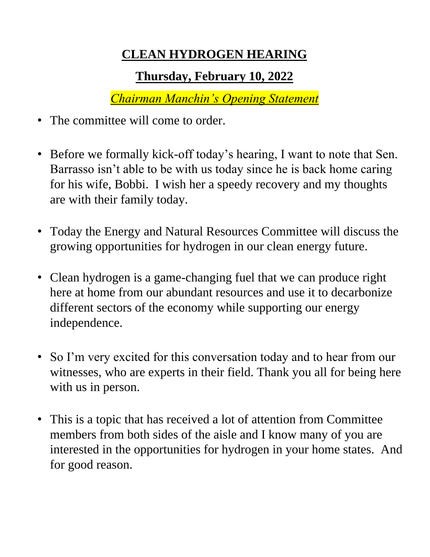## **CLEAN HYDROGEN HEARING**

## **Thursday, February 10, 2022**

*Chairman Manchin's Opening Statement*

- The committee will come to order.
- Before we formally kick-off today's hearing, I want to note that Sen. Barrasso isn't able to be with us today since he is back home caring for his wife, Bobbi. I wish her a speedy recovery and my thoughts are with their family today.
- Today the Energy and Natural Resources Committee will discuss the growing opportunities for hydrogen in our clean energy future.
- Clean hydrogen is a game-changing fuel that we can produce right here at home from our abundant resources and use it to decarbonize different sectors of the economy while supporting our energy independence.
- So I'm very excited for this conversation today and to hear from our witnesses, who are experts in their field. Thank you all for being here with us in person.
- This is a topic that has received a lot of attention from Committee members from both sides of the aisle and I know many of you are interested in the opportunities for hydrogen in your home states. And for good reason.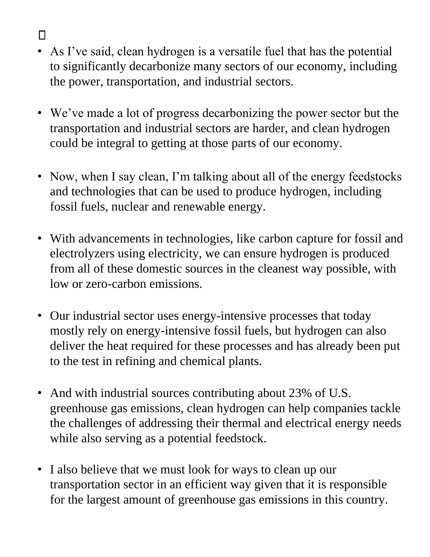- $\Box$
- As I've said, clean hydrogen is a versatile fuel that has the potential to significantly decarbonize many sectors of our economy, including the power, transportation, and industrial sectors.
- We've made a lot of progress decarbonizing the power sector but the transportation and industrial sectors are harder, and clean hydrogen could be integral to getting at those parts of our economy.
- Now, when I say clean, I'm talking about all of the energy feedstocks and technologies that can be used to produce hydrogen, including fossil fuels, nuclear and renewable energy.
- With advancements in technologies, like carbon capture for fossil and electrolyzers using electricity, we can ensure hydrogen is produced from all of these domestic sources in the cleanest way possible, with low or zero-carbon emissions.
- Our industrial sector uses energy-intensive processes that today mostly rely on energy-intensive fossil fuels, but hydrogen can also deliver the heat required for these processes and has already been put to the test in refining and chemical plants.
- And with industrial sources contributing about 23% of U.S. greenhouse gas emissions, clean hydrogen can help companies tackle the challenges of addressing their thermal and electrical energy needs while also serving as a potential feedstock.
- I also believe that we must look for ways to clean up our transportation sector in an efficient way given that it is responsible for the largest amount of greenhouse gas emissions in this country.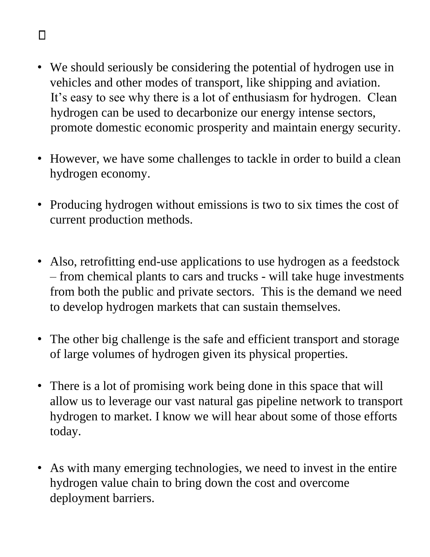## • We should seriously be considering the potential of hydrogen use in vehicles and other modes of transport, like shipping and aviation. It's easy to see why there is a lot of enthusiasm for hydrogen. Clean hydrogen can be used to decarbonize our energy intense sectors, promote domestic economic prosperity and maintain energy security.

- However, we have some challenges to tackle in order to build a clean hydrogen economy.
- Producing hydrogen without emissions is two to six times the cost of current production methods.
- Also, retrofitting end-use applications to use hydrogen as a feedstock – from chemical plants to cars and trucks - will take huge investments from both the public and private sectors. This is the demand we need to develop hydrogen markets that can sustain themselves.
- The other big challenge is the safe and efficient transport and storage of large volumes of hydrogen given its physical properties.
- There is a lot of promising work being done in this space that will allow us to leverage our vast natural gas pipeline network to transport hydrogen to market. I know we will hear about some of those efforts today.
- As with many emerging technologies, we need to invest in the entire hydrogen value chain to bring down the cost and overcome deployment barriers.

## $\Box$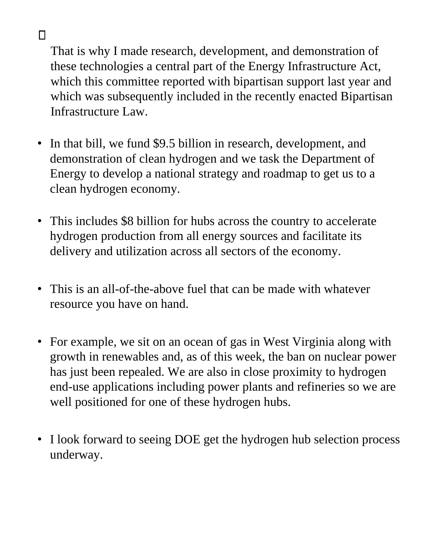That is why I made research, development, and demonstration of these technologies a central part of the Energy Infrastructure Act, which this committee reported with bipartisan support last year and which was subsequently included in the recently enacted Bipartisan Infrastructure Law.

 $\Box$ 

- In that bill, we fund \$9.5 billion in research, development, and demonstration of clean hydrogen and we task the Department of Energy to develop a national strategy and roadmap to get us to a clean hydrogen economy.
- This includes \$8 billion for hubs across the country to accelerate hydrogen production from all energy sources and facilitate its delivery and utilization across all sectors of the economy.
- This is an all-of-the-above fuel that can be made with whatever resource you have on hand.
- For example, we sit on an ocean of gas in West Virginia along with growth in renewables and, as of this week, the ban on nuclear power has just been repealed. We are also in close proximity to hydrogen end-use applications including power plants and refineries so we are well positioned for one of these hydrogen hubs.
- I look forward to seeing DOE get the hydrogen hub selection process underway.